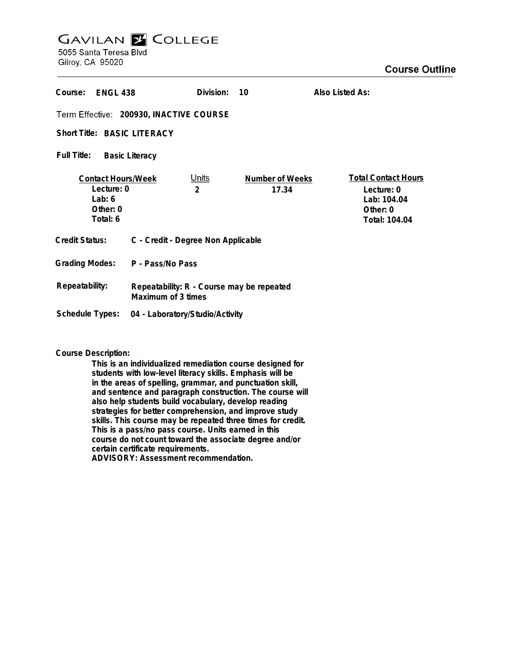# **GAVILAN Z COLLEGE**

5055 Santa Teresa Blvd Gilroy, CA 95020

| Course:<br><b>ENGL 438</b>                                                    |                                                                 | Division:                      | 10                              | Also Listed As:                                                                        |
|-------------------------------------------------------------------------------|-----------------------------------------------------------------|--------------------------------|---------------------------------|----------------------------------------------------------------------------------------|
| Term Effective: 200930, INACTIVE COURSE                                       |                                                                 |                                |                                 |                                                                                        |
| <b>Short Title: BASIC LITERACY</b>                                            |                                                                 |                                |                                 |                                                                                        |
| Full Title:<br><b>Basic Literacy</b>                                          |                                                                 |                                |                                 |                                                                                        |
| <b>Contact Hours/Week</b><br>Lecture: 0<br>Lab: $6$<br>Other: $0$<br>Total: 6 |                                                                 | <u>Units</u><br>$\overline{2}$ | <b>Number of Weeks</b><br>17.34 | <b>Total Contact Hours</b><br>Lecture: 0<br>Lab: 104.04<br>Other: $0$<br>Total: 104.04 |
| Credit Status:                                                                | C - Credit - Degree Non Applicable                              |                                |                                 |                                                                                        |
| <b>Grading Modes:</b>                                                         | P - Pass/No Pass                                                |                                |                                 |                                                                                        |
| Repeatability:                                                                | Repeatability: R - Course may be repeated<br>Maximum of 3 times |                                |                                 |                                                                                        |
| Schedule Types:                                                               | 04 - Laboratory/Studio/Activity                                 |                                |                                 |                                                                                        |

**Course Description:**

**This is an individualized remediation course designed for students with low-level literacy skills. Emphasis will be in the areas of spelling, grammar, and punctuation skill, and sentence and paragraph construction. The course will also help students build vocabulary, develop reading strategies for better comprehension, and improve study skills. This course may be repeated three times for credit. This is a pass/no pass course. Units earned in this course do not count toward the associate degree and/or certain certificate requirements. ADVISORY: Assessment recommendation.**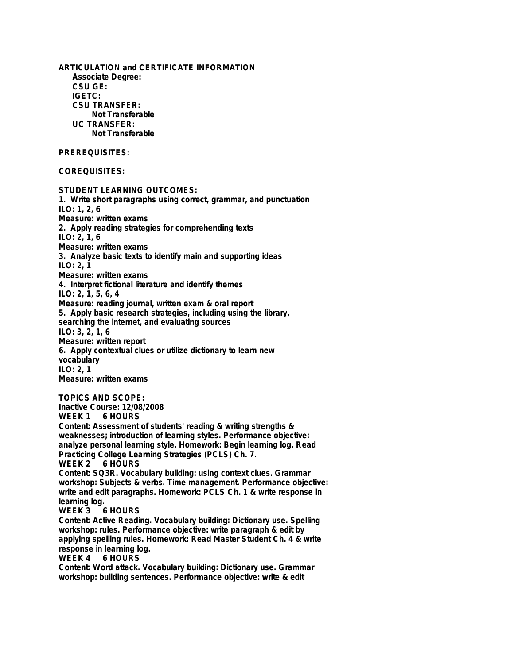**ARTICULATION and CERTIFICATE INFORMATION Associate Degree: CSU GE: IGETC: CSU TRANSFER: Not Transferable UC TRANSFER: Not Transferable PREREQUISITES: COREQUISITES: STUDENT LEARNING OUTCOMES: 1. Write short paragraphs using correct, grammar, and punctuation ILO: 1, 2, 6 Measure: written exams 2. Apply reading strategies for comprehending texts ILO: 2, 1, 6 Measure: written exams 3. Analyze basic texts to identify main and supporting ideas ILO: 2, 1 Measure: written exams 4. Interpret fictional literature and identify themes ILO: 2, 1, 5, 6, 4 Measure: reading journal, written exam & oral report 5. Apply basic research strategies, including using the library, searching the internet, and evaluating sources ILO: 3, 2, 1, 6 Measure: written report 6. Apply contextual clues or utilize dictionary to learn new vocabulary ILO: 2, 1 Measure: written exams TOPICS AND SCOPE: Inactive Course: 12/08/2008 6 HOURS Content: Assessment of students' reading & writing strengths & weaknesses; introduction of learning styles. Performance objective: analyze personal learning style. Homework: Begin learning log. Read Practicing College Learning Strategies (PCLS) Ch. 7. 6 HOURS Content: SQ3R. Vocabulary building: using context clues. Grammar workshop: Subjects & verbs. Time management. Performance objective: write and edit paragraphs. Homework: PCLS Ch. 1 & write response in learning log.**  $6$  HOURS **Content: Active Reading. Vocabulary building: Dictionary use. Spelling workshop: rules. Performance objective: write paragraph & edit by applying spelling rules. Homework: Read Master Student Ch. 4 & write response in learning log. 6 HOURS Content: Word attack. Vocabulary building: Dictionary use. Grammar workshop: building sentences. Performance objective: write & edit**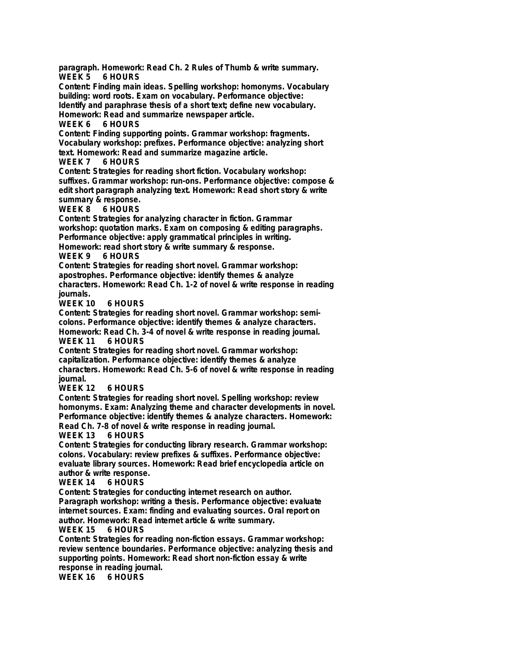**paragraph. Homework: Read Ch. 2 Rules of Thumb & write summary. WEEK 5 6 HOURS Content: Finding main ideas. Spelling workshop: homonyms. Vocabulary building: word roots. Exam on vocabulary. Performance objective: Identify and paraphrase thesis of a short text; define new vocabulary. Homework: Read and summarize newspaper article. 6 HOURS** 

**Content: Finding supporting points. Grammar workshop: fragments. Vocabulary workshop: prefixes. Performance objective: analyzing short text. Homework: Read and summarize magazine article.**

**WEEK 7 6 HOURS**

**Content: Strategies for reading short fiction. Vocabulary workshop: suffixes. Grammar workshop: run-ons. Performance objective: compose & edit short paragraph analyzing text. Homework: Read short story & write**

**summary & response. 6 HOURS** 

**Content: Strategies for analyzing character in fiction. Grammar workshop: quotation marks. Exam on composing & editing paragraphs. Performance objective: apply grammatical principles in writing.**

**Homework: read short story & write summary & response.**

#### **WEEK 9 6 HOURS**

**Content: Strategies for reading short novel. Grammar workshop: apostrophes. Performance objective: identify themes & analyze characters. Homework: Read Ch. 1-2 of novel & write response in reading journals.**

**WEEK 10 6 HOURS**

**Content: Strategies for reading short novel. Grammar workshop: semicolons. Performance objective: identify themes & analyze characters. Homework: Read Ch. 3-4 of novel & write response in reading journal. 6 HOURS** 

**Content: Strategies for reading short novel. Grammar workshop: capitalization. Performance objective: identify themes & analyze characters. Homework: Read Ch. 5-6 of novel & write response in reading journal.**

### **6 HOURS**

**Content: Strategies for reading short novel. Spelling workshop: review homonyms. Exam: Analyzing theme and character developments in novel. Performance objective: identify themes & analyze characters. Homework: Read Ch. 7-8 of novel & write response in reading journal.**

### **WEEK 13 6 HOURS**

**Content: Strategies for conducting library research. Grammar workshop: colons. Vocabulary: review prefixes & suffixes. Performance objective: evaluate library sources. Homework: Read brief encyclopedia article on author & write response.**

### **WEEK 14 6 HOURS**

**Content: Strategies for conducting internet research on author. Paragraph workshop: writing a thesis. Performance objective: evaluate internet sources. Exam: finding and evaluating sources. Oral report on author. Homework: Read internet article & write summary.**

### **WEEK 15**

**Content: Strategies for reading non-fiction essays. Grammar workshop: review sentence boundaries. Performance objective: analyzing thesis and supporting points. Homework: Read short non-fiction essay & write response in reading journal.**

**WEEK 16 6 HOURS**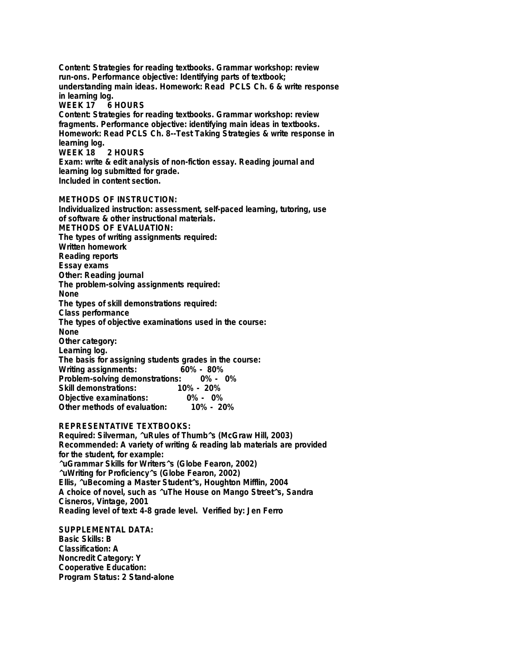**Content: Strategies for reading textbooks. Grammar workshop: review run-ons. Performance objective: Identifying parts of textbook; understanding main ideas. Homework: Read PCLS Ch. 6 & write response in learning log. WEEK 17 6 HOURS Content: Strategies for reading textbooks. Grammar workshop: review fragments. Performance objective: identifying main ideas in textbooks. Homework: Read PCLS Ch. 8--Test Taking Strategies & write response in learning log. WEEK 18 2 HOURS Exam: write & edit analysis of non-fiction essay. Reading journal and learning log submitted for grade. Included in content section. METHODS OF INSTRUCTION: Individualized instruction: assessment, self-paced learning, tutoring, use of software & other instructional materials. METHODS OF EVALUATION: The types of writing assignments required: Written homework Reading reports Essay exams Other: Reading journal The problem-solving assignments required: None The types of skill demonstrations required:**

**Class performance**

**The types of objective examinations used in the course: None**

**Other category: Learning log. The basis for assigning students grades in the course: Writing assignments: Problem-solving demonstrations: 0% - 0% Skill demonstrations: 10% - 20% Objective examinations: 0% - 0% Other methods of evaluation:** 

## **REPRESENTATIVE TEXTBOOKS:**

**Required: Silverman, ^uRules of Thumb^s (McGraw Hill, 2003) Recommended: A variety of writing & reading lab materials are provided for the student, for example: ^uGrammar Skills for Writers^s (Globe Fearon, 2002) ^uWriting for Proficiency^s (Globe Fearon, 2002) Ellis, ^uBecoming a Master Student^s, Houghton Mifflin, 2004 A choice of novel, such as ^uThe House on Mango Street^s, Sandra Cisneros, Vintage, 2001 Reading level of text: 4-8 grade level. Verified by: Jen Ferro**

**SUPPLEMENTAL DATA: Basic Skills: B Classification: A Noncredit Category: Y Cooperative Education: Program Status: 2 Stand-alone**